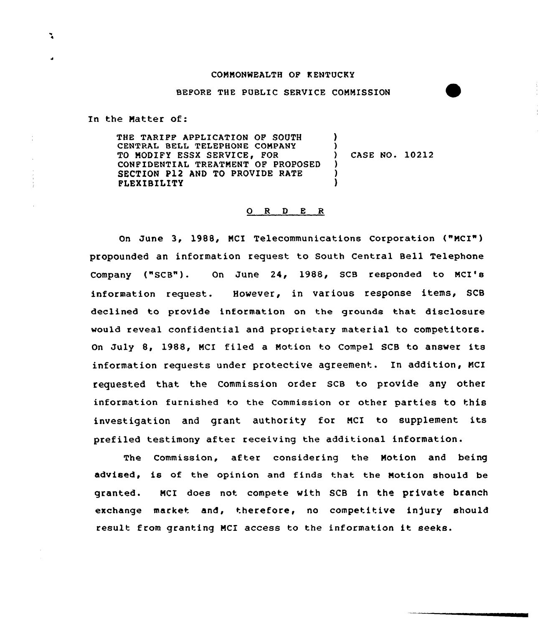## COMMONWEALTH OF K ENTUCKY

## BEFORE THE PUBLIC SERVICE COMMISSION

In the Matter of:

THE TARIFF APPLICATION OF SOUTH CENTRAL BELL TELEPHONE COMPANY TQ MODIFY ESSX SERVICE, FOR CONFIDENTIAL TREATMENT OF PROPOSED SECTION P12 AND TO PROVIDE RATE FLEXIBILITY ) ) ) CASE NO. 10212 ) ) )

## 0 <sup>R</sup> <sup>D</sup> E R

On June 3, 1988, MCI Telecommunications corporation ("MCI") propounded an information request to south central Bell Telephone Company ("SCB"). On June 24, 1988, SCB responded to MCI's information request. However, in various response items, SCB declined to provide information on the grounds that disclosure would reveal confidential and proprietary material to competitors. On July 8, 1988, NCI filed <sup>a</sup> Notion to Compel SCB to answer its information requests under protective agreement. In addition, MCI requested that the Commission order SCB to provide any other information furnished to the commission or other parties to this investigation and grant authority for MCI to supplement its prefiled testimony after receiving the additional information.

The Commission, after considering the Motion and being advised, is of the opinion and finds that the Notion should be granted. MCI does not compete with SCB in the private branch exchange market and, therefore, no competitive injury should result from granting MCI access to the information it seeks.